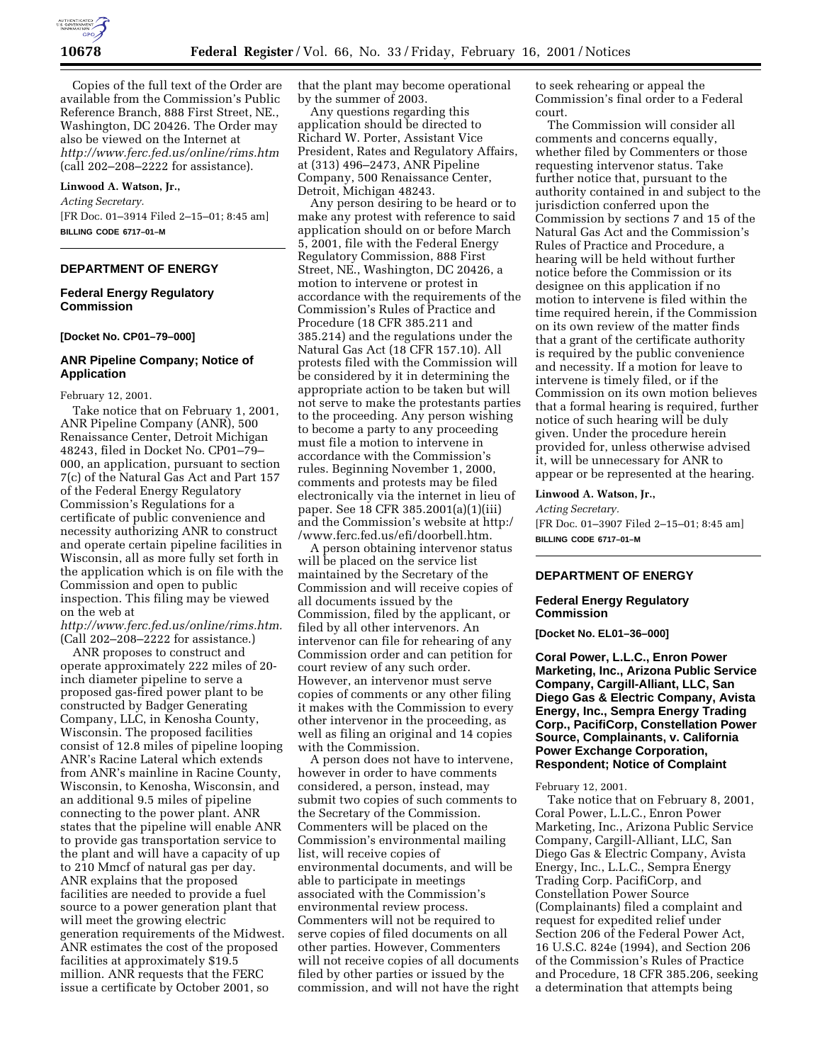

Copies of the full text of the Order are available from the Commission's Public Reference Branch, 888 First Street, NE., Washington, DC 20426. The Order may also be viewed on the Internet at *http://www.ferc.fed.us/online/rims.htm* (call 202–208–2222 for assistance).

# **Linwood A. Watson, Jr.,**

*Acting Secretary.* [FR Doc. 01–3914 Filed 2–15–01; 8:45 am] **BILLING CODE 6717–01–M**

# **DEPARTMENT OF ENERGY**

## **Federal Energy Regulatory Commission**

### **[Docket No. CP01–79–000]**

### **ANR Pipeline Company; Notice of Application**

February 12, 2001.

Take notice that on February 1, 2001, ANR Pipeline Company (ANR), 500 Renaissance Center, Detroit Michigan 48243, filed in Docket No. CP01–79– 000, an application, pursuant to section 7(c) of the Natural Gas Act and Part 157 of the Federal Energy Regulatory Commission's Regulations for a certificate of public convenience and necessity authorizing ANR to construct and operate certain pipeline facilities in Wisconsin, all as more fully set forth in the application which is on file with the Commission and open to public inspection. This filing may be viewed on the web at

*http://www.ferc.fed.us/online/rims.htm.* (Call 202–208–2222 for assistance.)

ANR proposes to construct and operate approximately 222 miles of 20 inch diameter pipeline to serve a proposed gas-fired power plant to be constructed by Badger Generating Company, LLC, in Kenosha County, Wisconsin. The proposed facilities consist of 12.8 miles of pipeline looping ANR's Racine Lateral which extends from ANR's mainline in Racine County, Wisconsin, to Kenosha, Wisconsin, and an additional 9.5 miles of pipeline connecting to the power plant. ANR states that the pipeline will enable ANR to provide gas transportation service to the plant and will have a capacity of up to 210 Mmcf of natural gas per day. ANR explains that the proposed facilities are needed to provide a fuel source to a power generation plant that will meet the growing electric generation requirements of the Midwest. ANR estimates the cost of the proposed facilities at approximately \$19.5 million. ANR requests that the FERC issue a certificate by October 2001, so

that the plant may become operational by the summer of 2003.

Any questions regarding this application should be directed to Richard W. Porter, Assistant Vice President, Rates and Regulatory Affairs, at (313) 496–2473, ANR Pipeline Company, 500 Renaissance Center, Detroit, Michigan 48243.

Any person desiring to be heard or to make any protest with reference to said application should on or before March 5, 2001, file with the Federal Energy Regulatory Commission, 888 First Street, NE., Washington, DC 20426, a motion to intervene or protest in accordance with the requirements of the Commission's Rules of Practice and Procedure (18 CFR 385.211 and 385.214) and the regulations under the Natural Gas Act (18 CFR 157.10). All protests filed with the Commission will be considered by it in determining the appropriate action to be taken but will not serve to make the protestants parties to the proceeding. Any person wishing to become a party to any proceeding must file a motion to intervene in accordance with the Commission's rules. Beginning November 1, 2000, comments and protests may be filed electronically via the internet in lieu of paper. See 18 CFR 385.2001(a)(1)(iii) and the Commission's website at http:/ /www.ferc.fed.us/efi/doorbell.htm.

A person obtaining intervenor status will be placed on the service list maintained by the Secretary of the Commission and will receive copies of all documents issued by the Commission, filed by the applicant, or filed by all other intervenors. An intervenor can file for rehearing of any Commission order and can petition for court review of any such order. However, an intervenor must serve copies of comments or any other filing it makes with the Commission to every other intervenor in the proceeding, as well as filing an original and 14 copies with the Commission.

A person does not have to intervene, however in order to have comments considered, a person, instead, may submit two copies of such comments to the Secretary of the Commission. Commenters will be placed on the Commission's environmental mailing list, will receive copies of environmental documents, and will be able to participate in meetings associated with the Commission's environmental review process. Commenters will not be required to serve copies of filed documents on all other parties. However, Commenters will not receive copies of all documents filed by other parties or issued by the commission, and will not have the right to seek rehearing or appeal the Commission's final order to a Federal court.

The Commission will consider all comments and concerns equally, whether filed by Commenters or those requesting intervenor status. Take further notice that, pursuant to the authority contained in and subject to the jurisdiction conferred upon the Commission by sections 7 and 15 of the Natural Gas Act and the Commission's Rules of Practice and Procedure, a hearing will be held without further notice before the Commission or its designee on this application if no motion to intervene is filed within the time required herein, if the Commission on its own review of the matter finds that a grant of the certificate authority is required by the public convenience and necessity. If a motion for leave to intervene is timely filed, or if the Commission on its own motion believes that a formal hearing is required, further notice of such hearing will be duly given. Under the procedure herein provided for, unless otherwise advised it, will be unnecessary for ANR to appear or be represented at the hearing.

### **Linwood A. Watson, Jr.,**

*Acting Secretary.* [FR Doc. 01–3907 Filed 2–15–01; 8:45 am] **BILLING CODE 6717–01–M**

# **DEPARTMENT OF ENERGY**

### **Federal Energy Regulatory Commission**

**[Docket No. EL01–36–000]**

**Coral Power, L.L.C., Enron Power Marketing, Inc., Arizona Public Service Company, Cargill-Alliant, LLC, San Diego Gas & Electric Company, Avista Energy, Inc., Sempra Energy Trading Corp., PacifiCorp, Constellation Power Source, Complainants, v. California Power Exchange Corporation, Respondent; Notice of Complaint**

### February 12, 2001.

Take notice that on February 8, 2001, Coral Power, L.L.C., Enron Power Marketing, Inc., Arizona Public Service Company, Cargill-Alliant, LLC, San Diego Gas & Electric Company, Avista Energy, Inc., L.L.C., Sempra Energy Trading Corp. PacifiCorp, and Constellation Power Source (Complainants) filed a complaint and request for expedited relief under Section 206 of the Federal Power Act, 16 U.S.C. 824e (1994), and Section 206 of the Commission's Rules of Practice and Procedure, 18 CFR 385.206, seeking a determination that attempts being